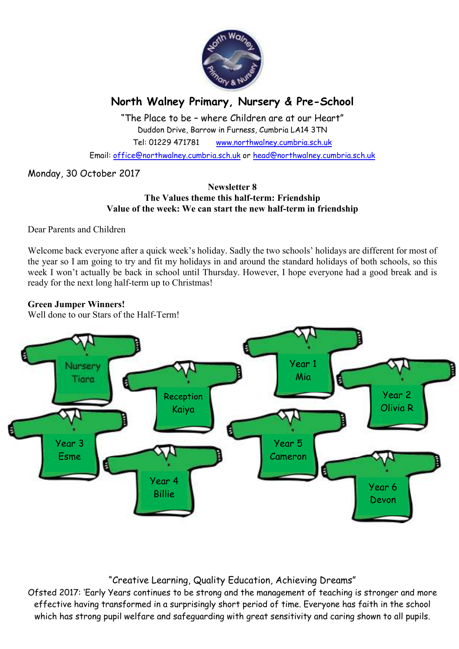

# **North Walney Primary, Nursery & Pre-School**

"The Place to be – where Children are at our Heart" Duddon Drive, Barrow in Furness, Cumbria LA14 3TN Tel: 01229 471781 www.northwalney.cumbria.sch.uk

Email: office@northwalney.cumbria.sch.uk or head@northwalney.cumbria.sch.uk

## Monday, 30 October 2017

#### **Newsletter 8 The Values theme this half-term: Friendship Value of the week: We can start the new half-term in friendship**

Dear Parents and Children

Welcome back everyone after a quick week's holiday. Sadly the two schools' holidays are different for most of the year so I am going to try and fit my holidays in and around the standard holidays of both schools, so this week I won't actually be back in school until Thursday. However, I hope everyone had a good break and is ready for the next long half-term up to Christmas!

## **Green Jumper Winners!**

Well done to our Stars of the Half-Term!



## "Creative Learning, Quality Education, Achieving Dreams"

Ofsted 2017: 'Early Years continues to be strong and the management of teaching is stronger and more effective having transformed in a surprisingly short period of time. Everyone has faith in the school which has strong pupil welfare and safeguarding with great sensitivity and caring shown to all pupils.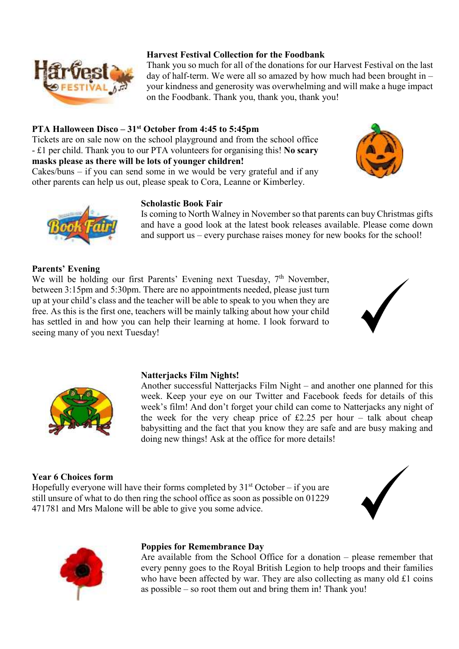

## **Harvest Festival Collection for the Foodbank**

Thank you so much for all of the donations for our Harvest Festival on the last day of half-term. We were all so amazed by how much had been brought in – your kindness and generosity was overwhelming and will make a huge impact on the Foodbank. Thank you, thank you, thank you!

## **PTA Halloween Disco – 31st October from 4:45 to 5:45pm**

Tickets are on sale now on the school playground and from the school office - £1 per child. Thank you to our PTA volunteers for organising this! **No scary masks please as there will be lots of younger children!** 

Cakes/buns – if you can send some in we would be very grateful and if any other parents can help us out, please speak to Cora, Leanne or Kimberley.

#### **Scholastic Book Fair**

Is coming to North Walney in November so that parents can buy Christmas gifts and have a good look at the latest book releases available. Please come down and support us – every purchase raises money for new books for the school!

#### **Parents' Evening**

We will be holding our first Parents' Evening next Tuesday, 7<sup>th</sup> November, between 3:15pm and 5:30pm. There are no appointments needed, please just turn up at your child's class and the teacher will be able to speak to you when they are free. As this is the first one, teachers will be mainly talking about how your child has settled in and how you can help their learning at home. I look forward to seeing many of you next Tuesday!





#### **Natterjacks Film Nights!**

Another successful Natterjacks Film Night – and another one planned for this week. Keep your eye on our Twitter and Facebook feeds for details of this week's film! And don't forget your child can come to Natterjacks any night of the week for the very cheap price of  $£2.25$  per hour – talk about cheap babysitting and the fact that you know they are safe and are busy making and doing new things! Ask at the office for more details!

#### **Year 6 Choices form**

Hopefully everyone will have their forms completed by  $31<sup>st</sup> October - if you are$ still unsure of what to do then ring the school office as soon as possible on 01229 471781 and Mrs Malone will be able to give you some advice.



#### **Poppies for Remembrance Day**

Are available from the School Office for a donation – please remember that every penny goes to the Royal British Legion to help troops and their families who have been affected by war. They are also collecting as many old £1 coins as possible – so root them out and bring them in! Thank you!